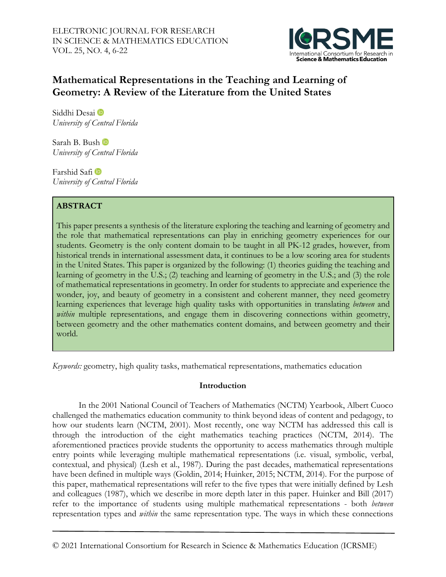

# **Mathematical Representations in the Teaching and Learning of Geometry: A Review of the Literature from the United States**

Siddhi Desai *University of Central Florida*

Sarah B. Bush *University of Central Florida*

FarshidSafi *University of Central Florida*

# **ABSTRACT**

This paper presents a synthesis of the literature exploring the teaching and learning of geometry and the role that mathematical representations can play in enriching geometry experiences for our students. Geometry is the only content domain to be taught in all PK-12 grades, however, from historical trends in international assessment data, it continues to be a low scoring area for students in the United States. This paper is organized by the following: (1) theories guiding the teaching and learning of geometry in the U.S.; (2) teaching and learning of geometry in the U.S.; and (3) the role of mathematical representations in geometry. In order for students to appreciate and experience the wonder, joy, and beauty of geometry in a consistent and coherent manner, they need geometry learning experiences that leverage high quality tasks with opportunities in translating *between* and within multiple representations, and engage them in discovering connections within geometry, between geometry and the other mathematics content domains, and between geometry and their world.

*Keywords:* geometry, high quality tasks, mathematical representations, mathematics education

# **Introduction**

In the 2001 National Council of Teachers of Mathematics (NCTM) Yearbook, Albert Cuoco challenged the mathematics education community to think beyond ideas of content and pedagogy, to how our students learn (NCTM, 2001). Most recently, one way NCTM has addressed this call is through the introduction of the eight mathematics teaching practices (NCTM, 2014). The aforementioned practices provide students the opportunity to access mathematics through multiple entry points while leveraging multiple mathematical representations (i.e. visual, symbolic, verbal, contextual, and physical) (Lesh et al., 1987). During the past decades, mathematical representations have been defined in multiple ways (Goldin, 2014; Huinker, 2015; NCTM, 2014). For the purpose of this paper, mathematical representations will refer to the five types that were initially defined by Lesh and colleagues (1987), which we describe in more depth later in this paper. Huinker and Bill (2017) refer to the importance of students using multiple mathematical representations - both *between* representation types and *within* the same representation type. The ways in which these connections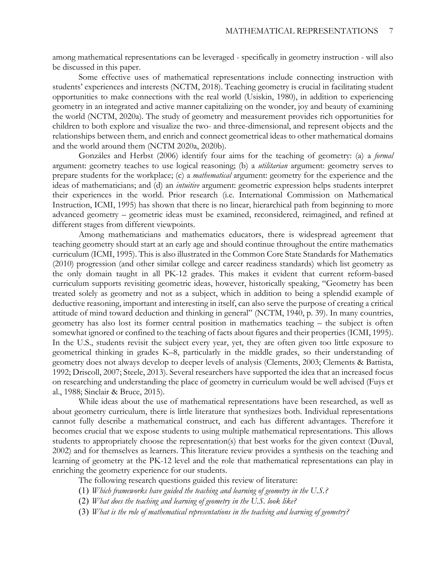among mathematical representations can be leveraged - specifically in geometry instruction - will also be discussed in this paper.

Some effective uses of mathematical representations include connecting instruction with students' experiences and interests (NCTM, 2018). Teaching geometry is crucial in facilitating student opportunities to make connections with the real world (Usiskin, 1980), in addition to experiencing geometry in an integrated and active manner capitalizing on the wonder, joy and beauty of examining the world (NCTM, 2020a). The study of geometry and measurement provides rich opportunities for children to both explore and visualize the two- and three-dimensional, and represent objects and the relationships between them, and enrich and connect geometrical ideas to other mathematical domains and the world around them (NCTM 2020a, 2020b).

Gonzáles and Herbst (2006) identify four aims for the teaching of geometry: (a) a *formal* argument: geometry teaches to use logical reasoning; (b) a *utilitarian* argument: geometry serves to prepare students for the workplace; (c) a *mathematical* argument: geometry for the experience and the ideas of mathematicians; and (d) an *intuitive* argument: geometric expression helps students interpret their experiences in the world. Prior research (i.e. International Commission on Mathematical Instruction, ICMI, 1995) has shown that there is no linear, hierarchical path from beginning to more advanced geometry – geometric ideas must be examined, reconsidered, reimagined, and refined at different stages from different viewpoints.

Among mathematicians and mathematics educators, there is widespread agreement that teaching geometry should start at an early age and should continue throughout the entire mathematics curriculum (ICMI, 1995). This is also illustrated in the Common Core State Standards for Mathematics (2010) progression (and other similar college and career readiness standards) which list geometry as the only domain taught in all PK-12 grades. This makes it evident that current reform-based curriculum supports revisiting geometric ideas, however, historically speaking, "Geometry has been treated solely as geometry and not as a subject, which in addition to being a splendid example of deductive reasoning, important and interesting in itself, can also serve the purpose of creating a critical attitude of mind toward deduction and thinking in general" (NCTM, 1940, p. 39). In many countries, geometry has also lost its former central position in mathematics teaching – the subject is often somewhat ignored or confined to the teaching of facts about figures and their properties (ICMI, 1995). In the U.S., students revisit the subject every year, yet, they are often given too little exposure to geometrical thinking in grades K–8, particularly in the middle grades, so their understanding of geometry does not always develop to deeper levels of analysis (Clements, 2003; Clements & Battista, 1992; Driscoll, 2007; Steele, 2013). Several researchers have supported the idea that an increased focus on researching and understanding the place of geometry in curriculum would be well advised (Fuys et al., 1988; Sinclair & Bruce, 2015).

While ideas about the use of mathematical representations have been researched, as well as about geometry curriculum, there is little literature that synthesizes both. Individual representations cannot fully describe a mathematical construct, and each has different advantages. Therefore it becomes crucial that we expose students to using multiple mathematical representations. This allows students to appropriately choose the representation(s) that best works for the given context (Duval, 2002) and for themselves as learners. This literature review provides a synthesis on the teaching and learning of geometry at the PK-12 level and the role that mathematical representations can play in enriching the geometry experience for our students.

The following research questions guided this review of literature:

- (1) *Which frameworks have guided the teaching and learning of geometry in the U.S.?*
- (2) *What does the teaching and learning of geometry in the U.S. look like?*
- (3) *What is the role of mathematical representations in the teaching and learning of geometry?*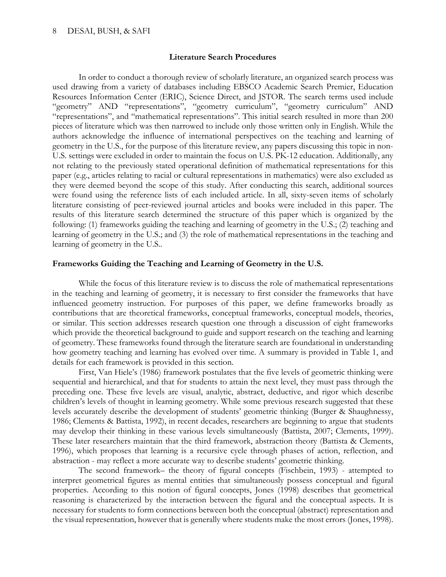#### **Literature Search Procedures**

In order to conduct a thorough review of scholarly literature, an organized search process was used drawing from a variety of databases including EBSCO Academic Search Premier, Education Resources Information Center (ERIC), Science Direct, and JSTOR. The search terms used include "geometry" AND "representations", "geometry curriculum", "geometry curriculum" AND "representations", and "mathematical representations". This initial search resulted in more than 200 pieces of literature which was then narrowed to include only those written only in English. While the authors acknowledge the influence of international perspectives on the teaching and learning of geometry in the U.S., for the purpose of this literature review, any papers discussing this topic in non-U.S. settings were excluded in order to maintain the focus on U.S. PK-12 education. Additionally, any not relating to the previously stated operational definition of mathematical representations for this paper (e.g., articles relating to racial or cultural representations in mathematics) were also excluded as they were deemed beyond the scope of this study. After conducting this search, additional sources were found using the reference lists of each included article. In all, sixty-seven items of scholarly literature consisting of peer-reviewed journal articles and books were included in this paper. The results of this literature search determined the structure of this paper which is organized by the following: (1) frameworks guiding the teaching and learning of geometry in the U.S.; (2) teaching and learning of geometry in the U.S.; and (3) the role of mathematical representations in the teaching and learning of geometry in the U.S..

# **Frameworks Guiding the Teaching and Learning of Geometry in the U.S.**

While the focus of this literature review is to discuss the role of mathematical representations in the teaching and learning of geometry, it is necessary to first consider the frameworks that have influenced geometry instruction. For purposes of this paper, we define frameworks broadly as contributions that are theoretical frameworks, conceptual frameworks, conceptual models, theories, or similar. This section addresses research question one through a discussion of eight frameworks which provide the theoretical background to guide and support research on the teaching and learning of geometry. These frameworks found through the literature search are foundational in understanding how geometry teaching and learning has evolved over time. A summary is provided in Table 1, and details for each framework is provided in this section.

First, Van Hiele's (1986) framework postulates that the five levels of geometric thinking were sequential and hierarchical, and that for students to attain the next level, they must pass through the preceding one. These five levels are visual, analytic, abstract, deductive, and rigor which describe children's levels of thought in learning geometry. While some previous research suggested that these levels accurately describe the development of students' geometric thinking (Burger & Shaughnessy, 1986; Clements & Battista, 1992), in recent decades, researchers are beginning to argue that students may develop their thinking in these various levels simultaneously (Battista, 2007; Clements, 1999). These later researchers maintain that the third framework, abstraction theory (Battista & Clements, 1996), which proposes that learning is a recursive cycle through phases of action, reflection, and abstraction - may reflect a more accurate way to describe students' geometric thinking.

The second framework– the theory of figural concepts (Fischbein, 1993) - attempted to interpret geometrical figures as mental entities that simultaneously possess conceptual and figural properties. According to this notion of figural concepts, Jones (1998) describes that geometrical reasoning is characterized by the interaction between the figural and the conceptual aspects. It is necessary for students to form connections between both the conceptual (abstract) representation and the visual representation, however that is generally where students make the most errors (Jones, 1998).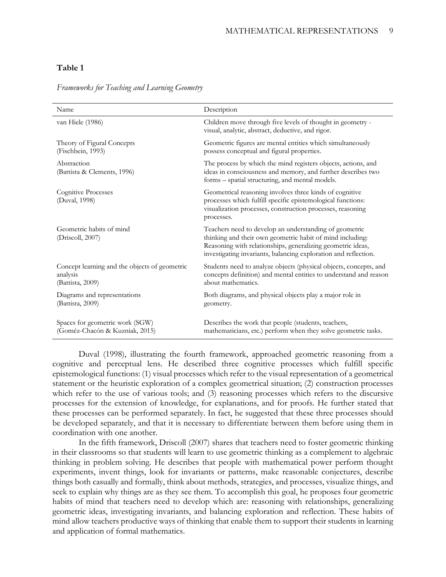# **Table 1**

| Name                                                                          | Description                                                                                                                                                                                                                                           |
|-------------------------------------------------------------------------------|-------------------------------------------------------------------------------------------------------------------------------------------------------------------------------------------------------------------------------------------------------|
| van Hiele (1986)                                                              | Children move through five levels of thought in geometry -<br>visual, analytic, abstract, deductive, and rigor.                                                                                                                                       |
| Theory of Figural Concepts<br>(Fischbein, 1993)                               | Geometric figures are mental entities which simultaneously<br>possess conceptual and figural properties.                                                                                                                                              |
| Abstraction<br>(Battista & Clements, 1996)                                    | The process by which the mind registers objects, actions, and<br>ideas in consciousness and memory, and further describes two<br>forms - spatial structuring, and mental models.                                                                      |
| <b>Cognitive Processes</b><br>(Duval, 1998)                                   | Geometrical reasoning involves three kinds of cognitive<br>processes which fulfill specific epistemological functions:<br>visualization processes, construction processes, reasoning<br>processes.                                                    |
| Geometric habits of mind<br>(Driscoll, 2007)                                  | Teachers need to develop an understanding of geometric<br>thinking and their own geometric habit of mind including:<br>Reasoning with relationships, generalizing geometric ideas,<br>investigating invariants, balancing exploration and reflection. |
| Concept learning and the objects of geometric<br>analysis<br>(Battista, 2009) | Students need to analyze objects (physical objects, concepts, and<br>concepts definition) and mental entities to understand and reason<br>about mathematics.                                                                                          |
| Diagrams and representations<br>(Battista, 2009)                              | Both diagrams, and physical objects play a major role in<br>geometry.                                                                                                                                                                                 |
| Spaces for geometric work (SGW)<br>(Goméz-Chacón & Kuzniak, 2015)             | Describes the work that people (students, teachers,<br>mathematicians, etc.) perform when they solve geometric tasks.                                                                                                                                 |

*Frameworks for Teaching and Learning Geometry*

Duval (1998), illustrating the fourth framework, approached geometric reasoning from a cognitive and perceptual lens. He described three cognitive processes which fulfill specific epistemological functions: (1) visual processes which refer to the visual representation of a geometrical statement or the heuristic exploration of a complex geometrical situation; (2) construction processes which refer to the use of various tools; and (3) reasoning processes which refers to the discursive processes for the extension of knowledge, for explanations, and for proofs. He further stated that these processes can be performed separately. In fact, he suggested that these three processes should be developed separately, and that it is necessary to differentiate between them before using them in coordination with one another.

In the fifth framework, Driscoll (2007) shares that teachers need to foster geometric thinking in their classrooms so that students will learn to use geometric thinking as a complement to algebraic thinking in problem solving. He describes that people with mathematical power perform thought experiments, invent things, look for invariants or patterns, make reasonable conjectures, describe things both casually and formally, think about methods, strategies, and processes, visualize things, and seek to explain why things are as they see them. To accomplish this goal, he proposes four geometric habits of mind that teachers need to develop which are: reasoning with relationships, generalizing geometric ideas, investigating invariants, and balancing exploration and reflection. These habits of mind allow teachers productive ways of thinking that enable them to support their students in learning and application of formal mathematics.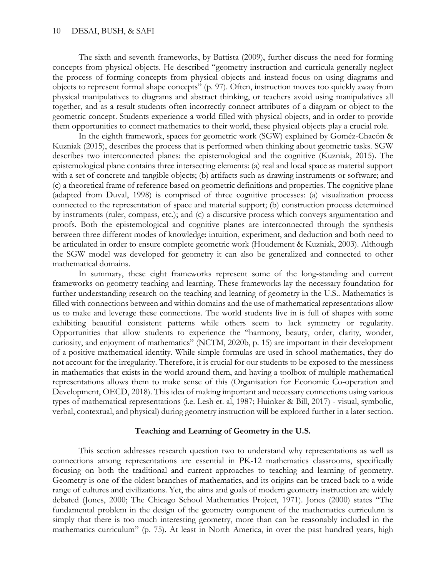The sixth and seventh frameworks, by Battista (2009), further discuss the need for forming concepts from physical objects. He described "geometry instruction and curricula generally neglect the process of forming concepts from physical objects and instead focus on using diagrams and objects to represent formal shape concepts" (p. 97). Often, instruction moves too quickly away from physical manipulatives to diagrams and abstract thinking, or teachers avoid using manipulatives all together, and as a result students often incorrectly connect attributes of a diagram or object to the geometric concept. Students experience a world filled with physical objects, and in order to provide them opportunities to connect mathematics to their world, these physical objects play a crucial role.

In the eighth framework, spaces for geometric work (SGW) explained by Goméz-Chacón & Kuzniak (2015), describes the process that is performed when thinking about geometric tasks. SGW describes two interconnected planes: the epistemological and the cognitive (Kuzniak, 2015). The epistemological plane contains three intersecting elements: (a) real and local space as material support with a set of concrete and tangible objects; (b) artifacts such as drawing instruments or software; and (c) a theoretical frame of reference based on geometric definitions and properties. The cognitive plane (adapted from Duval, 1998) is comprised of three cognitive processes: (a) visualization process connected to the representation of space and material support; (b) construction process determined by instruments (ruler, compass, etc.); and (c) a discursive process which conveys argumentation and proofs. Both the epistemological and cognitive planes are interconnected through the synthesis between three different modes of knowledge: intuition, experiment, and deduction and both need to be articulated in order to ensure complete geometric work (Houdement & Kuzniak, 2003). Although the SGW model was developed for geometry it can also be generalized and connected to other mathematical domains.

In summary, these eight frameworks represent some of the long-standing and current frameworks on geometry teaching and learning. These frameworks lay the necessary foundation for further understanding research on the teaching and learning of geometry in the U.S.. Mathematics is filled with connections between and within domains and the use of mathematical representations allow us to make and leverage these connections. The world students live in is full of shapes with some exhibiting beautiful consistent patterns while others seem to lack symmetry or regularity. Opportunities that allow students to experience the "harmony, beauty, order, clarity, wonder, curiosity, and enjoyment of mathematics" (NCTM, 2020b, p. 15) are important in their development of a positive mathematical identity. While simple formulas are used in school mathematics, they do not account for the irregularity. Therefore, it is crucial for our students to be exposed to the messiness in mathematics that exists in the world around them, and having a toolbox of multiple mathematical representations allows them to make sense of this (Organisation for Economic Co-operation and Development, OECD, 2018). This idea of making important and necessary connections using various types of mathematical representations (i.e. Lesh et. al, 1987; Huinker & Bill, 2017) - visual, symbolic, verbal, contextual, and physical) during geometry instruction will be explored further in a later section.

#### **Teaching and Learning of Geometry in the U.S.**

This section addresses research question two to understand why representations as well as connections among representations are essential in PK-12 mathematics classrooms, specifically focusing on both the traditional and current approaches to teaching and learning of geometry. Geometry is one of the oldest branches of mathematics, and its origins can be traced back to a wide range of cultures and civilizations. Yet, the aims and goals of modern geometry instruction are widely debated (Jones, 2000; The Chicago School Mathematics Project, 1971). Jones (2000) states "The fundamental problem in the design of the geometry component of the mathematics curriculum is simply that there is too much interesting geometry, more than can be reasonably included in the mathematics curriculum" (p. 75). At least in North America, in over the past hundred years, high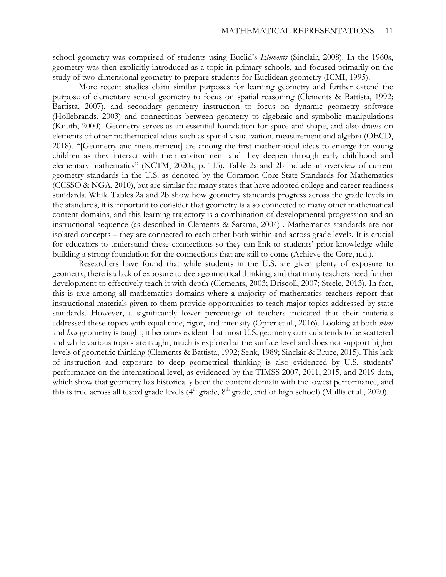school geometry was comprised of students using Euclid's *Elements* (Sinclair, 2008). In the 1960s, geometry was then explicitly introduced as a topic in primary schools, and focused primarily on the study of two-dimensional geometry to prepare students for Euclidean geometry (ICMI, 1995).

More recent studies claim similar purposes for learning geometry and further extend the purpose of elementary school geometry to focus on spatial reasoning (Clements & Battista, 1992; Battista, 2007), and secondary geometry instruction to focus on dynamic geometry software (Hollebrands, 2003) and connections between geometry to algebraic and symbolic manipulations (Knuth, 2000). Geometry serves as an essential foundation for space and shape, and also draws on elements of other mathematical ideas such as spatial visualization, measurement and algebra (OECD, 2018). "[Geometry and measurement] are among the first mathematical ideas to emerge for young children as they interact with their environment and they deepen through early childhood and elementary mathematics" (NCTM, 2020a, p. 115). Table 2a and 2b include an overview of current geometry standards in the U.S. as denoted by the Common Core State Standards for Mathematics (CCSSO & NGA, 2010), but are similar for many states that have adopted college and career readiness standards. While Tables 2a and 2b show how geometry standards progress across the grade levels in the standards, it is important to consider that geometry is also connected to many other mathematical content domains, and this learning trajectory is a combination of developmental progression and an instructional sequence (as described in Clements & Sarama, 2004) . Mathematics standards are not isolated concepts – they are connected to each other both within and across grade levels. It is crucial for educators to understand these connections so they can link to students' prior knowledge while building a strong foundation for the connections that are still to come (Achieve the Core, n.d.).

Researchers have found that while students in the U.S. are given plenty of exposure to geometry, there is a lack of exposure to deep geometrical thinking, and that many teachers need further development to effectively teach it with depth (Clements, 2003; Driscoll, 2007; Steele, 2013). In fact, this is true among all mathematics domains where a majority of mathematics teachers report that instructional materials given to them provide opportunities to teach major topics addressed by state standards. However, a significantly lower percentage of teachers indicated that their materials addressed these topics with equal time, rigor, and intensity (Opfer et al., 2016). Looking at both *what* and *how* geometry is taught, it becomes evident that most U.S. geometry curricula tends to be scattered and while various topics are taught, much is explored at the surface level and does not support higher levels of geometric thinking (Clements & Battista, 1992; Senk, 1989; Sinclair & Bruce, 2015). This lack of instruction and exposure to deep geometrical thinking is also evidenced by U.S. students' performance on the international level, as evidenced by the TIMSS 2007, 2011, 2015, and 2019 data, which show that geometry has historically been the content domain with the lowest performance, and this is true across all tested grade levels  $(4<sup>th</sup>$  grade,  $8<sup>th</sup>$  grade, end of high school) (Mullis et al., 2020).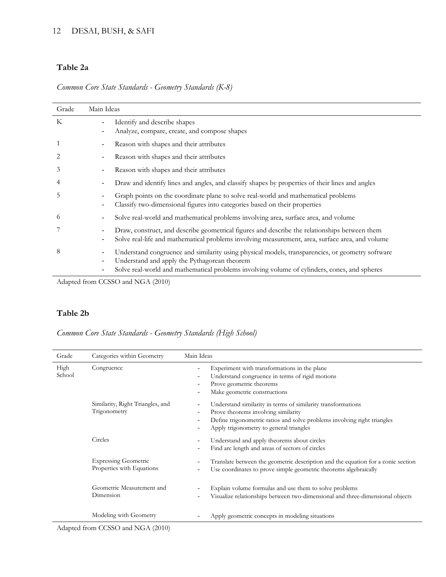# **Table 2a**

*Common Core State Standards - Geometry Standards (K-8)*

| Grade | Main Ideas                             |                                                                                                                                                                                                                                                  |
|-------|----------------------------------------|--------------------------------------------------------------------------------------------------------------------------------------------------------------------------------------------------------------------------------------------------|
| K     | -<br>$\overline{\phantom{a}}$          | Identify and describe shapes<br>Analyze, compare, create, and compose shapes                                                                                                                                                                     |
|       | -                                      | Reason with shapes and their attributes                                                                                                                                                                                                          |
| 2     | -                                      | Reason with shapes and their attributes                                                                                                                                                                                                          |
| 3     | -                                      | Reason with shapes and their attributes                                                                                                                                                                                                          |
| 4     | -                                      | Draw and identify lines and angles, and classify shapes by properties of their lines and angles                                                                                                                                                  |
| 5     | $\overline{\phantom{a}}$               | Graph points on the coordinate plane to solve real-world and mathematical problems<br>Classify two-dimensional figures into categories based on their properties                                                                                 |
| 6     | ۰.                                     | Solve real-world and mathematical problems involving area, surface area, and volume                                                                                                                                                              |
|       | -<br>$\qquad \qquad \blacksquare$      | Draw, construct, and describe geometrical figures and describe the relationships between them<br>Solve real-life and mathematical problems involving measurement, area, surface area, and volume                                                 |
| 8     | -<br>$\qquad \qquad \blacksquare$<br>- | Understand congruence and similarity using physical models, transparencies, or geometry software<br>Understand and apply the Pythagorean theorem<br>Solve real-world and mathematical problems involving volume of cylinders, cones, and spheres |

Adapted from CCSSO and NGA (2010)

# **Table 2b**

*Common Core State Standards - Geometry Standards (High School)*

| Grade          | Categories within Geometry                               | Main Ideas                                                                                                                                                                                                                 |
|----------------|----------------------------------------------------------|----------------------------------------------------------------------------------------------------------------------------------------------------------------------------------------------------------------------------|
| High<br>School | Congruence                                               | Experiment with transformations in the plane<br>Understand congruence in terms of rigid motions<br>Prove geometric theorems<br>Make geometric constructions                                                                |
|                | Similarity, Right Triangles, and<br>Trigonometry         | Understand similarity in terms of similarity transformations<br>Prove theorems involving similarity<br>Define trigonometric ratios and solve problems involving right triangles<br>Apply trigonometry to general triangles |
|                | Circles                                                  | Understand and apply theorems about circles<br>Find arc length and areas of sectors of circles                                                                                                                             |
|                | <b>Expressing Geometric</b><br>Properties with Equations | Translate between the geometric description and the equation for a conic section<br>Use coordinates to prove simple geometric theorems algebraically                                                                       |
|                | Geometric Measurement and<br>Dimension                   | Explain volume formulas and use them to solve problems<br>Visualize relationships between two-dimensional and three-dimensional objects                                                                                    |
|                | Modeling with Geometry                                   | Apply geometric concepts in modeling situations                                                                                                                                                                            |

Adapted from CCSSO and NGA (2010)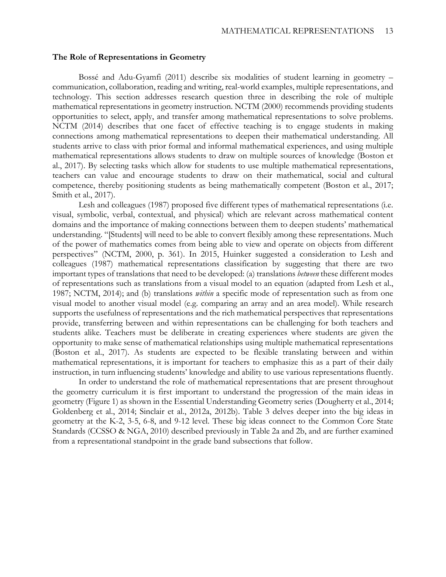#### **The Role of Representations in Geometry**

Bossé and Adu-Gyamfi (2011) describe six modalities of student learning in geometry – communication, collaboration, reading and writing, real-world examples, multiple representations, and technology. This section addresses research question three in describing the role of multiple mathematical representations in geometry instruction. NCTM (2000) recommends providing students opportunities to select, apply, and transfer among mathematical representations to solve problems. NCTM (2014) describes that one facet of effective teaching is to engage students in making connections among mathematical representations to deepen their mathematical understanding. All students arrive to class with prior formal and informal mathematical experiences, and using multiple mathematical representations allows students to draw on multiple sources of knowledge (Boston et al., 2017). By selecting tasks which allow for students to use multiple mathematical representations, teachers can value and encourage students to draw on their mathematical, social and cultural competence, thereby positioning students as being mathematically competent (Boston et al., 2017; Smith et al., 2017).

Lesh and colleagues (1987) proposed five different types of mathematical representations (i.e. visual, symbolic, verbal, contextual, and physical) which are relevant across mathematical content domains and the importance of making connections between them to deepen students' mathematical understanding. "[Students] will need to be able to convert flexibly among these representations. Much of the power of mathematics comes from being able to view and operate on objects from different perspectives" (NCTM, 2000, p. 361). In 2015, Huinker suggested a consideration to Lesh and colleagues (1987) mathematical representations classification by suggesting that there are two important types of translations that need to be developed: (a) translations *between* these different modes of representations such as translations from a visual model to an equation (adapted from Lesh et al., 1987; NCTM, 2014); and (b) translations *within* a specific mode of representation such as from one visual model to another visual model (e.g. comparing an array and an area model). While research supports the usefulness of representations and the rich mathematical perspectives that representations provide, transferring between and within representations can be challenging for both teachers and students alike. Teachers must be deliberate in creating experiences where students are given the opportunity to make sense of mathematical relationships using multiple mathematical representations (Boston et al., 2017). As students are expected to be flexible translating between and within mathematical representations, it is important for teachers to emphasize this as a part of their daily instruction, in turn influencing students' knowledge and ability to use various representations fluently.

In order to understand the role of mathematical representations that are present throughout the geometry curriculum it is first important to understand the progression of the main ideas in geometry (Figure 1) as shown in the Essential Understanding Geometry series (Dougherty et al., 2014; Goldenberg et al., 2014; Sinclair et al., 2012a, 2012b). Table 3 delves deeper into the big ideas in geometry at the K-2, 3-5, 6-8, and 9-12 level. These big ideas connect to the Common Core State Standards (CCSSO & NGA, 2010) described previously in Table 2a and 2b, and are further examined from a representational standpoint in the grade band subsections that follow.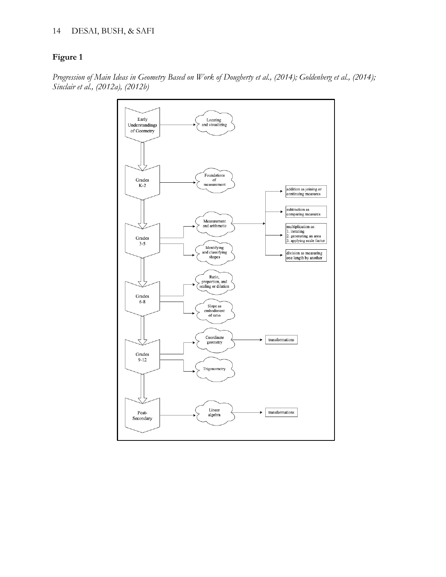## 14 DESAI, BUSH, & SAFI

# **Figure 1**



*Progression of Main Ideas in Geometry Based on Work of Dougherty et al., (2014); Goldenberg et al., (2014); Sinclair et al., (2012a), (2012b)*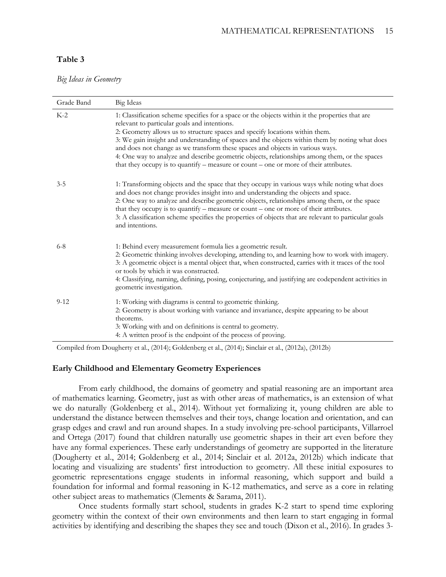### **Table 3**

*Big Ideas in Geometry*

| Grade Band | Big Ideas                                                                                                                                                                                                                                                                                                                                                                                                                                                                                                                                                                                                    |
|------------|--------------------------------------------------------------------------------------------------------------------------------------------------------------------------------------------------------------------------------------------------------------------------------------------------------------------------------------------------------------------------------------------------------------------------------------------------------------------------------------------------------------------------------------------------------------------------------------------------------------|
| $K-2$      | 1: Classification scheme specifies for a space or the objects within it the properties that are<br>relevant to particular goals and intentions.<br>2: Geometry allows us to structure spaces and specify locations within them.<br>3: We gain insight and understanding of spaces and the objects within them by noting what does<br>and does not change as we transform these spaces and objects in various ways.<br>4: One way to analyze and describe geometric objects, relationships among them, or the spaces<br>that they occupy is to quantify – measure or count – one or more of their attributes. |
| $3 - 5$    | 1: Transforming objects and the space that they occupy in various ways while noting what does<br>and does not change provides insight into and understanding the objects and space.<br>2: One way to analyze and describe geometric objects, relationships among them, or the space<br>that they occupy is to quantify – measure or count – one or more of their attributes.<br>3: A classification scheme specifies the properties of objects that are relevant to particular goals<br>and intentions.                                                                                                      |
| $6 - 8$    | 1: Behind every measurement formula lies a geometric result.<br>2: Geometric thinking involves developing, attending to, and learning how to work with imagery.<br>3: A geometric object is a mental object that, when constructed, carries with it traces of the tool<br>or tools by which it was constructed.<br>4: Classifying, naming, defining, posing, conjecturing, and justifying are codependent activities in<br>geometric investigation.                                                                                                                                                          |
| $9 - 12$   | 1: Working with diagrams is central to geometric thinking.<br>2. Geometry is about working with variance and invariance, despite appearing to be about<br>theorems.<br>3: Working with and on definitions is central to geometry.<br>4: A written proof is the endpoint of the process of proving.                                                                                                                                                                                                                                                                                                           |

Compiled from Dougherty et al., (2014); Goldenberg et al., (2014); Sinclair et al., (2012a), (2012b)

#### **Early Childhood and Elementary Geometry Experiences**

From early childhood, the domains of geometry and spatial reasoning are an important area of mathematics learning. Geometry, just as with other areas of mathematics, is an extension of what we do naturally (Goldenberg et al., 2014). Without yet formalizing it, young children are able to understand the distance between themselves and their toys, change location and orientation, and can grasp edges and crawl and run around shapes. In a study involving pre-school participants, Villarroel and Ortega (2017) found that children naturally use geometric shapes in their art even before they have any formal experiences. These early understandings of geometry are supported in the literature (Dougherty et al., 2014; Goldenberg et al., 2014; Sinclair et al. 2012a, 2012b) which indicate that locating and visualizing are students' first introduction to geometry. All these initial exposures to geometric representations engage students in informal reasoning, which support and build a foundation for informal and formal reasoning in K-12 mathematics, and serve as a core in relating other subject areas to mathematics (Clements & Sarama, 2011).

Once students formally start school, students in grades K-2 start to spend time exploring geometry within the context of their own environments and then learn to start engaging in formal activities by identifying and describing the shapes they see and touch (Dixon et al., 2016). In grades 3-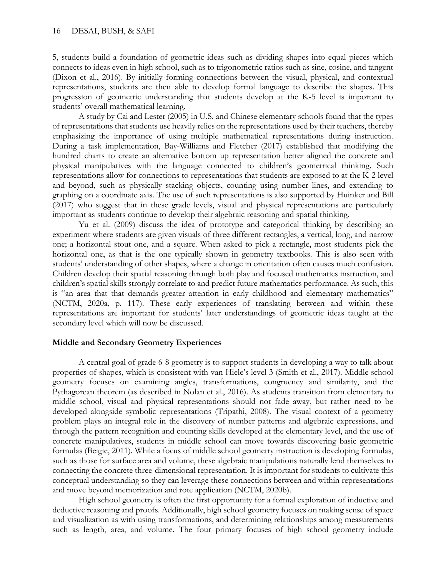5, students build a foundation of geometric ideas such as dividing shapes into equal pieces which connects to ideas even in high school, such as to trigonometric ratios such as sine, cosine, and tangent (Dixon et al., 2016). By initially forming connections between the visual, physical, and contextual representations, students are then able to develop formal language to describe the shapes. This progression of geometric understanding that students develop at the K-5 level is important to students' overall mathematical learning.

A study by Cai and Lester (2005) in U.S. and Chinese elementary schools found that the types of representations that students use heavily relies on the representations used by their teachers, thereby emphasizing the importance of using multiple mathematical representations during instruction. During a task implementation, Bay-Williams and Fletcher (2017) established that modifying the hundred charts to create an alternative bottom up representation better aligned the concrete and physical manipulatives with the language connected to children's geometrical thinking. Such representations allow for connections to representations that students are exposed to at the K-2 level and beyond, such as physically stacking objects, counting using number lines, and extending to graphing on a coordinate axis. The use of such representations is also supported by Huinker and Bill (2017) who suggest that in these grade levels, visual and physical representations are particularly important as students continue to develop their algebraic reasoning and spatial thinking.

Yu et al. (2009) discuss the idea of prototype and categorical thinking by describing an experiment where students are given visuals of three different rectangles, a vertical, long, and narrow one; a horizontal stout one, and a square. When asked to pick a rectangle, most students pick the horizontal one, as that is the one typically shown in geometry textbooks. This is also seen with students' understanding of other shapes, where a change in orientation often causes much confusion. Children develop their spatial reasoning through both play and focused mathematics instruction, and children's spatial skills strongly correlate to and predict future mathematics performance. As such, this is "an area that that demands greater attention in early childhood and elementary mathematics" (NCTM, 2020a, p. 117). These early experiences of translating between and within these representations are important for students' later understandings of geometric ideas taught at the secondary level which will now be discussed.

## **Middle and Secondary Geometry Experiences**

A central goal of grade 6-8 geometry is to support students in developing a way to talk about properties of shapes, which is consistent with van Hiele's level 3 (Smith et al., 2017). Middle school geometry focuses on examining angles, transformations, congruency and similarity, and the Pythagorean theorem (as described in Nolan et al., 2016). As students transition from elementary to middle school, visual and physical representations should not fade away, but rather need to be developed alongside symbolic representations (Tripathi, 2008). The visual context of a geometry problem plays an integral role in the discovery of number patterns and algebraic expressions, and through the pattern recognition and counting skills developed at the elementary level, and the use of concrete manipulatives, students in middle school can move towards discovering basic geometric formulas (Beigie, 2011). While a focus of middle school geometry instruction is developing formulas, such as those for surface area and volume, these algebraic manipulations naturally lend themselves to connecting the concrete three-dimensional representation. It is important for students to cultivate this conceptual understanding so they can leverage these connections between and within representations and move beyond memorization and rote application (NCTM, 2020b).

High school geometry is often the first opportunity for a formal exploration of inductive and deductive reasoning and proofs. Additionally, high school geometry focuses on making sense of space and visualization as with using transformations, and determining relationships among measurements such as length, area, and volume. The four primary focuses of high school geometry include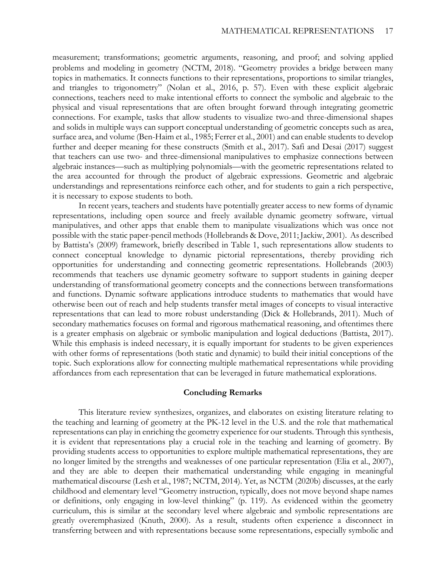measurement; transformations; geometric arguments, reasoning, and proof; and solving applied problems and modeling in geometry (NCTM, 2018). "Geometry provides a bridge between many topics in mathematics. It connects functions to their representations, proportions to similar triangles, and triangles to trigonometry" (Nolan et al., 2016, p. 57). Even with these explicit algebraic connections, teachers need to make intentional efforts to connect the symbolic and algebraic to the physical and visual representations that are often brought forward through integrating geometric connections. For example, tasks that allow students to visualize two-and three-dimensional shapes and solids in multiple ways can support conceptual understanding of geometric concepts such as area, surface area, and volume (Ben-Haim et al., 1985; Ferrer et al., 2001) and can enable students to develop further and deeper meaning for these constructs (Smith et al., 2017). Safi and Desai (2017) suggest that teachers can use two- and three-dimensional manipulatives to emphasize connections between algebraic instances—such as multiplying polynomials—with the geometric representations related to the area accounted for through the product of algebraic expressions. Geometric and algebraic understandings and representations reinforce each other, and for students to gain a rich perspective, it is necessary to expose students to both.

In recent years, teachers and students have potentially greater access to new forms of dynamic representations, including open source and freely available dynamic geometry software, virtual manipulatives, and other apps that enable them to manipulate visualizations which was once not possible with the static paper-pencil methods (Hollebrands & Dove, 2011; Jackiw, 2001). As described by Battista's (2009) framework, briefly described in Table 1, such representations allow students to connect conceptual knowledge to dynamic pictorial representations, thereby providing rich opportunities for understanding and connecting geometric representations. Hollebrands (2003) recommends that teachers use dynamic geometry software to support students in gaining deeper understanding of transformational geometry concepts and the connections between transformations and functions. Dynamic software applications introduce students to mathematics that would have otherwise been out of reach and help students transfer metal images of concepts to visual interactive representations that can lead to more robust understanding (Dick & Hollebrands, 2011). Much of secondary mathematics focuses on formal and rigorous mathematical reasoning, and oftentimes there is a greater emphasis on algebraic or symbolic manipulation and logical deductions (Battista, 2017). While this emphasis is indeed necessary, it is equally important for students to be given experiences with other forms of representations (both static and dynamic) to build their initial conceptions of the topic. Such explorations allow for connecting multiple mathematical representations while providing affordances from each representation that can be leveraged in future mathematical explorations.

#### **Concluding Remarks**

This literature review synthesizes, organizes, and elaborates on existing literature relating to the teaching and learning of geometry at the PK-12 level in the U.S. and the role that mathematical representations can play in enriching the geometry experience for our students. Through this synthesis, it is evident that representations play a crucial role in the teaching and learning of geometry. By providing students access to opportunities to explore multiple mathematical representations, they are no longer limited by the strengths and weaknesses of one particular representation (Elia et al., 2007), and they are able to deepen their mathematical understanding while engaging in meaningful mathematical discourse (Lesh et al., 1987; NCTM, 2014). Yet, as NCTM (2020b) discusses, at the early childhood and elementary level "Geometry instruction, typically, does not move beyond shape names or definitions, only engaging in low-level thinking" (p. 119). As evidenced within the geometry curriculum, this is similar at the secondary level where algebraic and symbolic representations are greatly overemphasized (Knuth, 2000). As a result, students often experience a disconnect in transferring between and with representations because some representations, especially symbolic and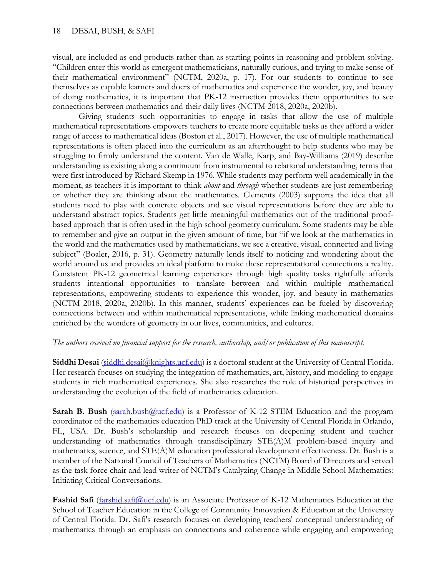visual, are included as end products rather than as starting points in reasoning and problem solving. "Children enter this world as emergent mathematicians, naturally curious, and trying to make sense of their mathematical environment" (NCTM, 2020a, p. 17). For our students to continue to see themselves as capable learners and doers of mathematics and experience the wonder, joy, and beauty of doing mathematics, it is important that PK-12 instruction provides them opportunities to see connections between mathematics and their daily lives (NCTM 2018, 2020a, 2020b).

Giving students such opportunities to engage in tasks that allow the use of multiple mathematical representations empowers teachers to create more equitable tasks as they afford a wider range of access to mathematical ideas (Boston et al., 2017). However, the use of multiple mathematical representations is often placed into the curriculum as an afterthought to help students who may be struggling to firmly understand the content. Van de Walle, Karp, and Bay-Williams (2019) describe understanding as existing along a continuum from instrumental to relational understanding, terms that were first introduced by Richard Skemp in 1976. While students may perform well academically in the moment, as teachers it is important to think *about* and *through* whether students are just remembering or whether they are thinking about the mathematics. Clements (2003) supports the idea that all students need to play with concrete objects and see visual representations before they are able to understand abstract topics. Students get little meaningful mathematics out of the traditional proofbased approach that is often used in the high school geometry curriculum. Some students may be able to remember and give an output in the given amount of time, but "if we look at the mathematics in the world and the mathematics used by mathematicians, we see a creative, visual, connected and living subject" (Boaler, 2016, p. 31). Geometry naturally lends itself to noticing and wondering about the world around us and provides an ideal platform to make these representational connections a reality. Consistent PK-12 geometrical learning experiences through high quality tasks rightfully affords students intentional opportunities to translate between and within multiple mathematical representations, empowering students to experience this wonder, joy, and beauty in mathematics (NCTM 2018, 2020a, 2020b). In this manner, students' experiences can be fueled by discovering connections between and within mathematical representations, while linking mathematical domains enriched by the wonders of geometry in our lives, communities, and cultures.

## *The authors received no financial support for the research, authorship, and/or publication of this manuscript.*

**Siddhi Desai** [\(siddhi.desai@knights.ucf.edu\)](mailto:siddhi.desai@knights.ucf.edu) is a doctoral student at the University of Central Florida. Her research focuses on studying the integration of mathematics, art, history, and modeling to engage students in rich mathematical experiences. She also researches the role of historical perspectives in understanding the evolution of the field of mathematics education.

**Sarah B. Bush** [\(sarah.bush@ucf.edu\)](mailto:sarah.bush@ucf.edu) is a Professor of K-12 STEM Education and the program coordinator of the mathematics education PhD track at the University of Central Florida in Orlando, FL, USA. Dr. Bush's scholarship and research focuses on deepening student and teacher understanding of mathematics through transdisciplinary STE(A)M problem-based inquiry and mathematics, science, and STE(A)M education professional development effectiveness. Dr. Bush is a member of the National Council of Teachers of Mathematics (NCTM) Board of Directors and served as the task force chair and lead writer of NCTM's Catalyzing Change in Middle School Mathematics: Initiating Critical Conversations.

Fashid Safi [\(farshid.safi@ucf.edu\)](mailto:farshid.safi@ucf.edu) is an Associate Professor of K-12 Mathematics Education at the School of Teacher Education in the College of Community Innovation & Education at the University of Central Florida. Dr. Safi's research focuses on developing teachers' conceptual understanding of mathematics through an emphasis on connections and coherence while engaging and empowering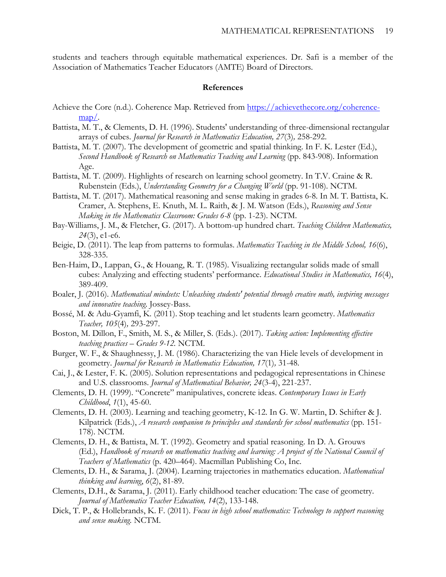students and teachers through equitable mathematical experiences. Dr. Safi is a member of the Association of Mathematics Teacher Educators (AMTE) Board of Directors.

#### **References**

- Achieve the Core (n.d.). Coherence Map. Retrieved from [https://achievethecore.org/coherence](https://achievethecore.org/coherence-map/)[map/.](https://achievethecore.org/coherence-map/)
- Battista, M. T., & Clements, D. H. (1996). Students' understanding of three-dimensional rectangular arrays of cubes. *Journal for Research in Mathematics Education, 27*(3)*,* 258-292.
- Battista, M. T. (2007). The development of geometric and spatial thinking. In F. K. Lester (Ed.), *Second Handbook of Research on Mathematics Teaching and Learning* (pp. 843-908). Information Age.
- Battista, M. T. (2009). Highlights of research on learning school geometry. In T.V. Craine & R. Rubenstein (Eds.), *Understanding Geometry for a Changing World* (pp. 91-108). NCTM.
- Battista, M. T. (2017). Mathematical reasoning and sense making in grades 6-8. In M. T. Battista, K. Cramer, A. Stephens, E. Knuth, M. L. Raith, & J. M. Watson (Eds.), *Reasoning and Sense Making in the Mathematics Classroom: Grades 6-8* (pp. 1-23). NCTM.
- Bay-Williams, J. M., & Fletcher, G. (2017). A bottom-up hundred chart. *Teaching Children Mathematics, 24*(3), e1-e6.
- Beigie, D. (2011). The leap from patterns to formulas. *Mathematics Teaching in the Middle School, 16*(6), 328-335.
- Ben-Haim, D., Lappan, G., & Houang, R. T. (1985). Visualizing rectangular solids made of small cubes: Analyzing and effecting students' performance. *Educational Studies in Mathematics, 16*(4), 389-409.
- Boaler, J. (2016). *Mathematical mindsets: Unleashing students' potential through creative math, inspiring messages and innovative teaching*. Jossey-Bass.
- Bossé, M. & Adu-Gyamfi, K. (2011). Stop teaching and let students learn geometry. *Mathematics Teacher, 105*(4)*,* 293-297.
- Boston, M. Dillon, F., Smith, M. S., & Miller, S. (Eds.). (2017). *Taking action: Implementing effective teaching practices – Grades 9-12.* NCTM.
- Burger, W. F., & Shaughnessy, J. M. (1986). Characterizing the van Hiele levels of development in geometry. *Journal for Research in Mathematics Education, 17*(1)*,* 31-48.
- Cai, J., & Lester, F. K. (2005). Solution representations and pedagogical representations in Chinese and U.S. classrooms. *Journal of Mathematical Behavior, 24*(3-4), 221-237.
- Clements, D. H. (1999). "Concrete" manipulatives, concrete ideas. *Contemporary Issues in Early Childhood*, *1*(1), 45-60.
- Clements, D. H. (2003). Learning and teaching geometry, K-12. In G. W. Martin, D. Schifter & J. Kilpatrick (Eds.), *A research companion to principles and standards for school mathematics* (pp. 151- 178). NCTM.
- Clements, D. H., & Battista, M. T. (1992). Geometry and spatial reasoning. In D. A. Grouws (Ed.), *Handbook of research on mathematics teaching and learning: A project of the National Council of Teachers of Mathematics* (p. 420–464). Macmillan Publishing Co, Inc.
- Clements, D. H., & Sarama, J. (2004). Learning trajectories in mathematics education. *Mathematical thinking and learning*, *6*(2), 81-89.
- Clements, D.H., & Sarama, J. (2011). Early childhood teacher education: The case of geometry. *Journal of Mathematics Teacher Education, 14*(2), 133-148.
- Dick, T. P., & Hollebrands, K. F. (2011). *Focus in high school mathematics: Technology to support reasoning and sense making.* NCTM.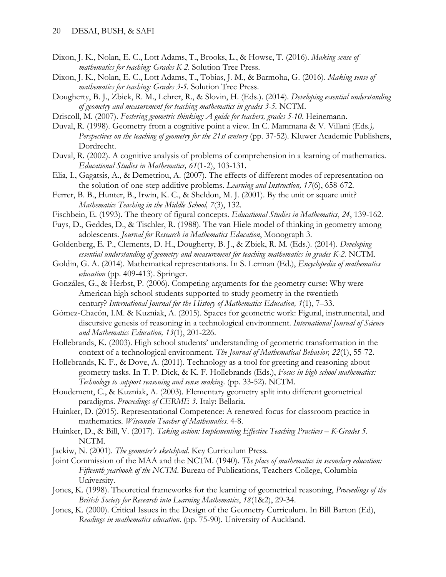- Dixon, J. K., Nolan, E. C., Lott Adams, T., Brooks, L., & Howse, T. (2016). *Making sense of mathematics for teaching: Grades K-2*. Solution Tree Press.
- Dixon, J. K., Nolan, E. C., Lott Adams, T., Tobias, J. M., & Barmoha, G. (2016). *Making sense of mathematics for teaching: Grades 3-5*. Solution Tree Press.
- Dougherty, B. J., Zbiek, R. M., Lehrer, R., & Slovin, H. (Eds.). (2014). *Developing essential understanding of geometry and measurement for teaching mathematics in grades 3-5.* NCTM.
- Driscoll, M. (2007). *Fostering geometric thinking: A guide for teachers, grades 5-10*. Heinemann.
- Duval, R. (1998). Geometry from a cognitive point a view. In C. Mammana & V. Villani (Eds*.), Perspectives on the teaching of geometry for the 21st century (pp. 37-52).* Kluwer Academic Publishers, Dordrecht.
- Duval, R. (2002). A cognitive analysis of problems of comprehension in a learning of mathematics. *Educational Studies in Mathematics, 61*(1-2), 103-131.
- Elia, I., Gagatsis, A., & Demetriou, A. (2007). The effects of different modes of representation on the solution of one-step additive problems. *Learning and Instruction, 17*(6), 658-672.
- Ferrer, B. B., Hunter, B., Irwin, K. C., & Sheldon, M. J. (2001). By the unit or square unit? *Mathematics Teaching in the Middle School, 7*(3), 132.
- Fischbein, E. (1993). The theory of figural concepts. *Educational Studies in Mathematics*, *24*, 139-162.
- Fuys, D., Geddes, D., & Tischler, R. (1988). The van Hiele model of thinking in geometry among adolescents. *Journal for Research in Mathematics Education*, Monograph 3.
- Goldenberg, E. P., Clements, D. H., Dougherty, B. J., & Zbiek, R. M. (Eds.). (2014). *Developing essential understanding of geometry and measurement for teaching mathematics in grades K-2.* NCTM.
- Goldin, G. A. (2014). Mathematical representations. In S. Lerman (Ed.), *Encyclopedia of mathematics education* (pp. 409-413). Springer.
- Gonzáles, G., & Herbst, P. (2006). Competing arguments for the geometry curse: Why were American high school students supported to study geometry in the twentieth century? *International Journal for the History of Mathematics Education, 1*(1), 7–33.
- Gómez-Chacón, I.M. & Kuzniak, A. (2015). Spaces for geometric work: Figural, instrumental, and discursive genesis of reasoning in a technological environment. *International Journal of Science and Mathematics Education, 13*(1), 201-226.
- Hollebrands, K. (2003). High school students' understanding of geometric transformation in the context of a technological environment. *The Journal of Mathematical Behavior, 22*(1), 55-72.
- Hollebrands, K. F., & Dove, A. (2011). Technology as a tool for greeting and reasoning about geometry tasks. In T. P. Dick, & K. F. Hollebrands (Eds.), *Focus in high school mathematics: Technology to support reasoning and sense making*. (pp. 33-52). NCTM.
- Houdement, C., & Kuzniak, A. (2003). Elementary geometry split into different geometrical paradigms. *Proceedings of CERME 3.* Italy: Bellaria.
- Huinker, D. (2015). Representational Competence: A renewed focus for classroom practice in mathematics. *Wisconsin Teacher of Mathematics*. 4-8.
- Huinker, D., & Bill, V. (2017). *Taking action: Implementing Effective Teaching Practices K-Grades 5.* NCTM.
- Jackiw, N. (2001). *The geometer's sketchpad*. Key Curriculum Press.
- Joint Commission of the MAA and the NCTM. (1940). *The place of mathematics in secondary education: Fifteenth yearbook of the NCTM*. Bureau of Publications, Teachers College, Columbia University.
- Jones, K. (1998). Theoretical frameworks for the learning of geometrical reasoning, *Proceedings of the British Society for Research into Learning Mathematics*, *18*(1&2), 29-34.
- Jones, K. (2000). Critical Issues in the Design of the Geometry Curriculum. In Bill Barton (Ed), *Readings in mathematics education*. (pp. 75-90). University of Auckland.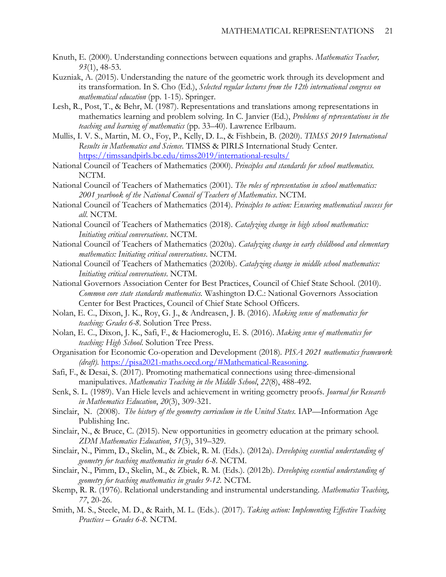- Knuth, E. (2000). Understanding connections between equations and graphs. *Mathematics Teacher, 93*(1), 48-53.
- Kuzniak, A. (2015). Understanding the nature of the geometric work through its development and its transformation. In S. Cho (Ed.), *Selected regular lectures from the 12th international congress on mathematical education* (pp. 1-15). Springer.
- Lesh, R., Post, T., & Behr, M. (1987). Representations and translations among representations in mathematics learning and problem solving. In C. Janvier (Ed.), *Problems of representations in the teaching and learning of mathematics* (pp. 33–40). Lawrence Erlbaum.
- Mullis, I. V. S., Martin, M. O., Foy, P., Kelly, D. L., & Fishbein, B. (2020). *TIMSS 2019 International Results in Mathematics and Science.* TIMSS & PIRLS International Study Center. <https://timssandpirls.bc.edu/timss2019/international-results/>
- National Council of Teachers of Mathematics (2000). *Principles and standards for school mathematics.* NCTM.
- National Council of Teachers of Mathematics (2001). *The roles of representation in school mathematics: 2001 yearbook of the National Council of Teachers of Mathematics*. NCTM.
- National Council of Teachers of Mathematics (2014). *Principles to action: Ensuring mathematical success for all*. NCTM.
- National Council of Teachers of Mathematics (2018). *Catalyzing change in high school mathematics: Initiating critical conversations*. NCTM.
- National Council of Teachers of Mathematics (2020a). *Catalyzing change in early childhood and elementary mathematics: Initiating critical conversations*. NCTM.
- National Council of Teachers of Mathematics (2020b). *Catalyzing change in middle school mathematics: Initiating critical conversations*. NCTM.
- National Governors Association Center for Best Practices, Council of Chief State School. (2010). *Common core state standards mathematics.* Washington D.C.: National Governors Association Center for Best Practices, Council of Chief State School Officers.
- Nolan, E. C., Dixon, J. K., Roy, G. J., & Andreasen, J. B. (2016). *Making sense of mathematics for teaching: Grades 6-8*. Solution Tree Press.
- Nolan, E. C., Dixon, J. K., Safi, F., & Haciomeroglu, E. S. (2016). *Making sense of mathematics for teaching: High School*. Solution Tree Press.
- Organisation for Economic Co-operation and Development (2018)*. PISA 2021 mathematics framework (draft).* [https://pisa2021-maths.oecd.org/#Mathematical-Reasoning.](https://pisa2021-maths.oecd.org/#Mathematical-Reasoning)
- Safi, F., & Desai, S. (2017). Promoting mathematical connections using three-dimensional manipulatives. *Mathematics Teaching in the Middle School*, *22*(8), 488-492.
- Senk, S. L. (1989). Van Hiele levels and achievement in writing geometry proofs. *Journal for Research in Mathematics Education*, *20*(3), 309-321.
- Sinclair, N. (2008). *The history of the geometry curriculum in the United States.* IAP—Information Age Publishing Inc.
- Sinclair, N., & Bruce, C. (2015). New opportunities in geometry education at the primary school. *ZDM Mathematics Education*, *51*(3), 319–329.
- Sinclair, N., Pimm, D., Skelin, M., & Zbiek, R. M. (Eds.). (2012a). *Developing essential understanding of geometry for teaching mathematics in grades 6-8.* NCTM.
- Sinclair, N., Pimm, D., Skelin, M., & Zbiek, R. M. (Eds.). (2012b). *Developing essential understanding of geometry for teaching mathematics in grades 9-12.* NCTM.
- Skemp, R. R. (1976). Relational understanding and instrumental understanding. *Mathematics Teaching*, *77*, 20-26.
- Smith, M. S., Steele, M. D., & Raith, M. L. (Eds.). (2017). *Taking action: Implementing Effective Teaching Practices – Grades 6-8.* NCTM.